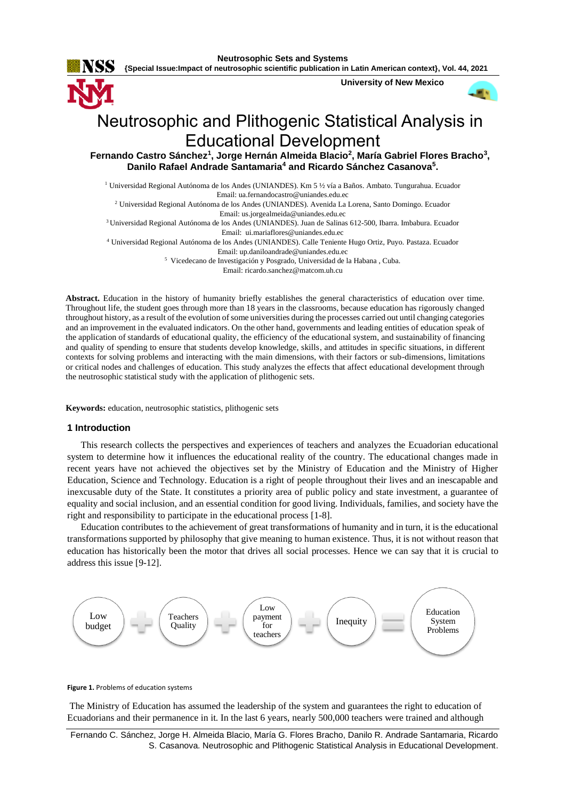

**Neutrosophic Sets and Systems**

**{Special Issue:Impact of neutrosophic scientific publication in Latin American context}, Vol. 44, 2021**

**University of New Mexico**



# Neutrosophic and Plithogenic Statistical Analysis in Educational Development

Fernando Castro Sánchez<sup>1</sup>, Jorge Hernán Almeida Blacio<sup>2</sup>, María Gabriel Flores Bracho<sup>3</sup>, **Danilo Rafael Andrade Santamaria<sup>4</sup> and Ricardo Sánchez Casanova<sup>5</sup> .** 

<sup>1</sup> Universidad Regional Autónoma de los Andes (UNIANDES). Km 5 ½ vía a Baños. Ambato. Tungurahua. Ecuador Email[: ua.fernandocastro@uniandes.edu.ec](mailto:ua.fernandocastro@uniandes.edu.ec)

<sup>2</sup> Universidad Regional Autónoma de los Andes (UNIANDES). Avenida La Lorena, Santo Domingo. Ecuador Email: [us.jorgealmeida@uniandes.edu.ec](mailto:us.jorgealmeida@uniandes.edu.ec)

<sup>3</sup>Universidad Regional Autónoma de los Andes (UNIANDES). Juan de Salinas 612-500, Ibarra. Imbabura. Ecuador Email: [ui.mariaflores@uniandes.edu.ec](mailto:ui.mariaflores@uniandes.edu.ec)

<sup>4</sup> Universidad Regional Autónoma de los Andes (UNIANDES). Calle Teniente Hugo Ortiz, Puyo. Pastaza. Ecuador Email: [up.daniloandrade@uniandes.edu.ec](mailto:up.daniloandrade@uniandes.edu.ec)

<sup>5</sup> Vicedecano de Investigación y Posgrado, Universidad de la Habana, Cuba.

Email: [ricardo.sanchez@matcom.uh.cu](mailto:ricardo.sanchez@matcom.uh.cu)

**Abstract.** Education in the history of humanity briefly establishes the general characteristics of education over time. Throughout life, the student goes through more than 18 years in the classrooms, because education has rigorously changed throughout history, as a result of the evolution of some universities during the processes carried out until changing categories and an improvement in the evaluated indicators. On the other hand, governments and leading entities of education speak of the application of standards of educational quality, the efficiency of the educational system, and sustainability of financing and quality of spending to ensure that students develop knowledge, skills, and attitudes in specific situations, in different contexts for solving problems and interacting with the main dimensions, with their factors or sub-dimensions, limitations or critical nodes and challenges of education. This study analyzes the effects that affect educational development through the neutrosophic statistical study with the application of plithogenic sets.

**Keywords:** education, neutrosophic statistics, plithogenic sets

## **1 Introduction**

This research collects the perspectives and experiences of teachers and analyzes the Ecuadorian educational system to determine how it influences the educational reality of the country. The educational changes made in recent years have not achieved the objectives set by the Ministry of Education and the Ministry of Higher Education, Science and Technology. Education is a right of people throughout their lives and an inescapable and inexcusable duty of the State. It constitutes a priority area of public policy and state investment, a guarantee of equality and social inclusion, and an essential condition for good living. Individuals, families, and society have the right and responsibility to participate in the educational process [\[1-8\]](#page-9-0).

Education contributes to the achievement of great transformations of humanity and in turn, it is the educational transformations supported by philosophy that give meaning to human existence. Thus, it is not without reason that education has historically been the motor that drives all social processes. Hence we can say that it is crucial to address this issue [\[9-12\]](#page-10-0).



#### **Figure 1.** Problems of education systems

The Ministry of Education has assumed the leadership of the system and guarantees the right to education of Ecuadorians and their permanence in it. In the last 6 years, nearly 500,000 teachers were trained and although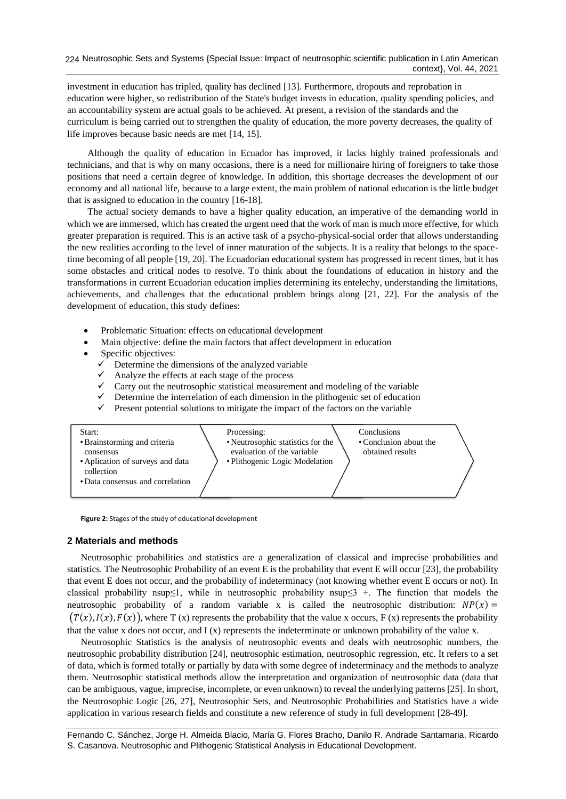investment in education has tripled, quality has declined [\[13\]](#page-10-1). Furthermore, dropouts and reprobation in education were higher, so redistribution of the State's budget invests in education, quality spending policies, and an accountability system are actual goals to be achieved. At present, a revision of the standards and the curriculum is being carried out to strengthen the quality of education, the more poverty decreases, the quality of life improves because basic needs are met [\[14,](#page-10-2) [15\]](#page-10-3).

Although the [quality](https://www.monografias.com/trabajos11/conge/conge.shtml) of education in Ecuador has improved, it lacks highly trained professionals and technicians, and that is why on many occasions, there is a need for millionaire hiring of foreigners to take those positions that need a certain degree of knowledge. In addition, this shortage decreases the development of our [economy](https://www.monografias.com/trabajos54/resumen-economia/resumen-economia.shtml) and all national life, because to a large extent, the main problem of national education is the little budget that is assigned to education in the country [\[16-18\]](#page-10-4).

The actual society [demands](https://www.monografias.com/trabajos/ofertaydemanda/ofertaydemanda.shtml) to have a higher quality education, an imperative of the demanding world in which we are immersed, which has created the urgent need tha[t the w](https://www.monografias.com/trabajos/fintrabajo/fintrabajo.shtml)ork of man is much more effective, for which greater preparation is required. This is an active task of a psycho-physical-social order that allows understanding the new realities according to the level of inner maturation of the subjects. It is a reality that belongs to the spacetime becoming of all people [\[19,](#page-10-5) [20\]](#page-10-6). The Ecuadorian educational system has progressed in recent times, but it has some obstacles and critical nodes to resolve. To think about the foundations of education in history and the transformations in current Ecuadorian education implies determining its entelechy, understanding the limitations, achievements, and challenges that the educational problem brings along [\[21,](#page-10-7) [22\]](#page-10-8). For the analysis of the development of education, this study defines:

- Problematic Situation: effects on educational development
- Main objective: define the main factors that affect development in education
- Specific objectives:
	- Determine the dimensions of the analyzed variable
	- Analyze the effects at each stage of the process
	- $\checkmark$  Carry out the neutrosophic statistical measurement and modeling of the variable
	- $\checkmark$  Determine the interrelation of each dimension in the plithogenic set of education
	- Present potential solutions to mitigate the impact of the factors on the variable



**Figure 2:** Stages of the study of educational development

#### **2 Materials and methods**

Neutrosophic probabilities and statistics are a generalization of classical and imprecise probabilities and statistics. The Neutrosophic Probability of an event E is the probability that event E will occur [\[23\]](#page-10-9), the probability that event E does not occur, and the probability of indeterminacy (not knowing whether event E occurs or not). In classical probability nsup≤1, while in neutrosophic probability nsup≤3 +. The function that models the neutrosophic probability of a random variable x is called the neutrosophic distribution:  $NP(x) =$  $(T(x),I(x),F(x))$ , where T (x) represents the probability that the value x occurs, F (x) represents the probability that the value x does not occur, and  $I(x)$  represents the indeterminate or unknown probability of the value x.

Neutrosophic Statistics is the analysis of neutrosophic events and deals with neutrosophic numbers, the neutrosophic probability distribution [\[24\]](#page-10-10), neutrosophic estimation, neutrosophic regression, etc. It refers to a set of data, which is formed totally or partially by data with some degree of indeterminacy and the methods to analyze them. Neutrosophic statistical methods allow the interpretation and organization of neutrosophic data (data that can be ambiguous, vague, imprecise, incomplete, or even unknown) to reveal the underlying patterns [\[25\]](#page-10-11). In short, the Neutrosophic Logic [\[26,](#page-10-12) [27\]](#page-10-13), Neutrosophic Sets, and Neutrosophic Probabilities and Statistics have a wide application in various research fields and constitute a new reference of study in full development [\[28-49\]](#page-10-14).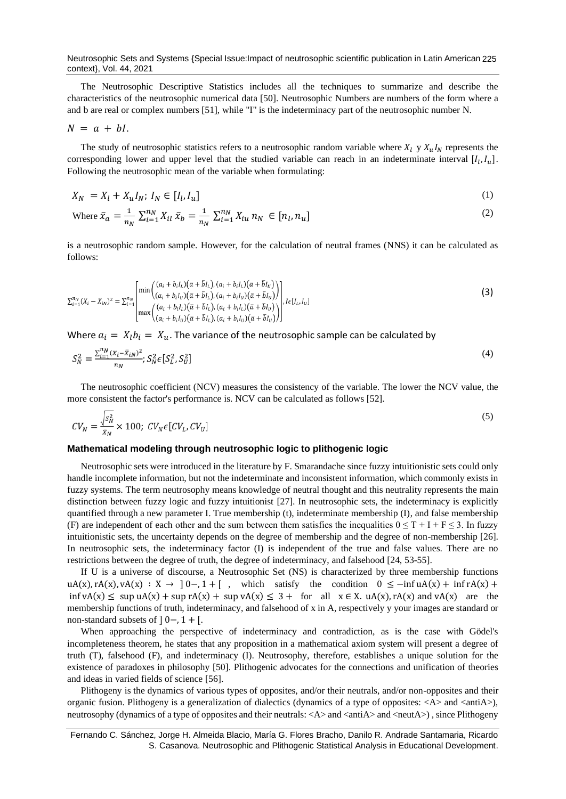Neutrosophic Sets and Systems {Special Issue:Impact of neutrosophic scientific publication in Latin American 225 context}, Vol. 44, 2021

The Neutrosophic Descriptive Statistics includes all the techniques to summarize and describe the characteristics of the neutrosophic numerical data [\[50\]](#page-11-0). Neutrosophic Numbers are numbers of the form where a and b are real or complex numbers [\[51\]](#page-11-1), while "I" is the indeterminacy part of the neutrosophic number N.

$$
N = a + bl.
$$

The study of neutrosophic statistics refers to a neutrosophic random variable where  $X_l$  y  $X_uI_N$  represents the corresponding lower and upper level that the studied variable can reach in an indeterminate interval  $[I_l, I_u]$ . Following the neutrosophic mean of the variable when formulating:

$$
X_N = X_l + X_u I_N; I_N \in [I_l, I_u]
$$
\n<sup>(1)</sup>

Where 
$$
\bar{x}_a = \frac{1}{n_N} \sum_{i=1}^{n_N} X_{il} \bar{x}_b = \frac{1}{n_N} \sum_{i=1}^{n_N} X_{iu} n_N \in [n_l, n_u]
$$
 (2)

is a neutrosophic random sample. However, for the calculation of neutral frames (NNS) it can be calculated as follows:

$$
\sum_{i=1}^{n_N} (X_i - \bar{X}_{iN})^2 = \sum_{i=1}^{n_N} \begin{bmatrix} \min\left( \begin{pmatrix} (a_i + b_i l_L)(\bar{a} + \bar{b} l_L), (a_i + b_i l_L)(\bar{a} + \bar{b} l_U) \\ (a_i + b_i l_U)(\bar{a} + \bar{b} l_L), (a_i + b_i l_U)(\bar{a} + \bar{b} l_U) \end{pmatrix} \right] \\ \max\left( \begin{pmatrix} (a_i + b_i l_L)(\bar{a} + \bar{b} l_L), (a_i + b_i l_L)(\bar{a} + \bar{b} l_U) \end{pmatrix} \right) \\ \max\left( \begin{pmatrix} (a_i + b_i l_L)(\bar{a} + \bar{b} l_L), (a_i + b_i l_L)(\bar{a} + \bar{b} l_U) \end{pmatrix} \right) \right]
$$
\n(3)

Where  $a_i = X_l b_i = X_u$ . The variance of the neutrosophic sample can be calculated by

$$
S_N^2 = \frac{\sum_{i=1}^{n_N} (x_i - \bar{x}_{iN})^2}{n_N}; S_N^2 \in [S_L^2, S_U^2]
$$
\n<sup>(4)</sup>

The neutrosophic coefficient (NCV) measures the consistency of the variable. The lower the NCV value, the more consistent the factor's performance is. NCV can be calculated as follows [\[52\]](#page-11-2).

$$
CV_N = \frac{\sqrt{s_N^2}}{\bar{x}_N} \times 100; \ CV_N \epsilon \left[ CV_L, CV_U \right] \tag{5}
$$

#### **Mathematical modeling through neutrosophic logic to plithogenic logic**

Neutrosophic sets were introduced in the literature by F. Smarandache since fuzzy intuitionistic sets could only handle incomplete information, but not the indeterminate and inconsistent information, which commonly exists in fuzzy systems. The term neutrosophy means knowledge of neutral thought and this neutrality represents the main distinction between fuzzy logic and fuzzy intuitionist [\[27\]](#page-10-13). In neutrosophic sets, the indeterminacy is explicitly quantified through a new parameter I. True membership (t), indeterminate membership (I), and false membership (F) are independent of each other and the sum between them satisfies the inequalities  $0 \le T + I + F \le 3$ . In fuzzy intuitionistic sets, the uncertainty depends on the degree of membership and the degree of non-membership [\[26\]](#page-10-12). In neutrosophic sets, the indeterminacy factor (I) is independent of the true and false values. There are no restrictions between the degree of truth, the degree of indeterminacy, and falsehood [\[24,](#page-10-10) [53-55\]](#page-11-3).

If U is a universe of discourse, a Neutrosophic Set (NS) is characterized by three membership functions  $uA(x), rA(x), vA(x) : X \rightarrow 0, 1 + [$ , which satisfy the condition  $0 \le -\inf uA(x) + \inf rA(x) +$ inf vA(x) ≤ sup uA(x) + sup rA(x) + sup vA(x) ≤ 3 + for all  $x \in X$ . uA(x), rA(x) and vA(x) are the membership functions of truth, indeterminacy, and falsehood of x in A, respectively y your images are standard or non-standard subsets of  $] 0-.1+.$ 

When approaching the perspective of indeterminacy and contradiction, as is the case with Gödel's incompleteness theorem, he states that any proposition in a mathematical axiom system will present a degree of truth (T), falsehood (F), and indeterminacy (I). Neutrosophy, therefore, establishes a unique solution for the existence of paradoxes in philosophy [\[50\]](#page-11-0). Plithogenic advocates for the connections and unification of theories and ideas in varied fields of science [\[56\]](#page-11-4).

Plithogeny is the dynamics of various types of opposites, and/or their neutrals, and/or non-opposites and their organic fusion. Plithogeny is a generalization of dialectics (dynamics of a type of opposites:  $\langle A \rangle$  and  $\langle \text{antiA}\rangle$ ), neutrosophy (dynamics of a type of opposites and their neutrals: <A> and <antiA> and <neutA>), since Plithogeny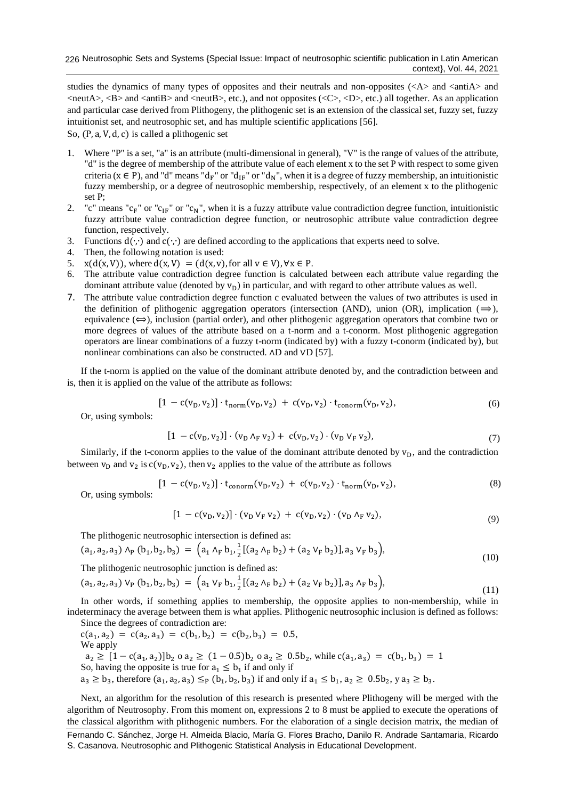studies the dynamics of many types of opposites and their neutrals and non-opposites  $\langle \langle A \rangle$  and  $\langle \langle \rangle$  and  $\langle \rangle$  and  $\langle$ neutA $\rangle$ ,  $\langle$ B $\rangle$  and  $\langle$ antiB $\rangle$  and  $\langle$ neutB $\rangle$ , etc.), and not opposites ( $\langle$ C $\rangle$ ,  $\langle$ D $\rangle$ , etc.) all together. As an application and particular case derived from Plithogeny, the plithogenic set is an extension of the classical set, fuzzy set, fuzzy intuitionist set, and neutrosophic set, and has multiple scientific applications [\[56\]](#page-11-4).

So, (P, a, V, d, c) is called a plithogenic set

- 1. Where "P" is a set, "a" is an attribute (multi-dimensional in general), "V" is the range of values of the attribute, "d" is the degree of membership of the attribute value of each element x to the set P with respect to some given criteria ( $x \in P$ ), and "d" means "d<sub>F</sub>" or "d<sub>IF</sub>" or "d<sub>N</sub>", when it is a degree of fuzzy membership, an intuitionistic fuzzy membership, or a degree of neutrosophic membership, respectively, of an element x to the plithogenic set P;
- 2. "c" means " $c_F$ " or " $c_{IF}$ " or " $c_N$ ", when it is a fuzzy attribute value contradiction degree function, intuitionistic fuzzy attribute value contradiction degree function, or neutrosophic attribute value contradiction degree function, respectively.
- 3. Functions d(∙,∙) and c(∙,∙) are defined according to the applications that experts need to solve.
- 4. Then, the following notation is used:
- 5.  $x(d(x, V))$ , where  $d(x, V) = (d(x, v))$ , for all  $v \in V$ ,  $\forall x \in P$ .
- 6. The attribute value contradiction degree function is calculated between each attribute value regarding the dominant attribute value (denoted by  $v_D$ ) in particular, and with regard to other attribute values as well.
- 7. The attribute value contradiction degree function c evaluated between the values of two attributes is used in the definition of plithogenic aggregation operators (intersection (AND), union (OR), implication ( $\Rightarrow$ ), equivalence  $(\Leftrightarrow)$ , inclusion (partial order), and other plithogenic aggregation operators that combine two or more degrees of values of the attribute based on a t-norm and a t-conorm. Most plithogenic aggregation operators are linear combinations of a fuzzy t-norm (indicated by) with a fuzzy t-conorm (indicated by), but nonlinear combinations can also be constructed. ∧D and ∨D [\[57\]](#page-11-5).

If the t-norm is applied on the value of the dominant attribute denoted by, and the contradiction between and is, then it is applied on the value of the attribute as follows:

$$
[1 - c(v_D, v_2)] \cdot t_{norm}(v_D, v_2) + c(v_D, v_2) \cdot t_{conorm}(v_D, v_2), \tag{6}
$$

Or, using symbols:

$$
[1 - c(v_D, v_2)] \cdot (v_D \wedge_F v_2) + c(v_D, v_2) \cdot (v_D \vee_F v_2), \tag{7}
$$

Similarly, if the t-conorm applies to the value of the dominant attribute denoted by  $v<sub>D</sub>$ , and the contradiction between  $v_D$  and  $v_2$  is  $c(v_D, v_2)$ , then  $v_2$  applies to the value of the attribute as follows

$$
[1 - c(v_D, v_2)] \cdot t_{\text{conorm}}(v_D, v_2) + c(v_D, v_2) \cdot t_{\text{norm}}(v_D, v_2),
$$
\n(8)

Or, using symbol

$$
[1 - c(v_D, v_2)] \cdot (v_D \, v_F \, v_2) + c(v_D, v_2) \cdot (v_D \, \Lambda_F \, v_2), \tag{9}
$$

The plithogenic neutrosophic intersection is defined as:

$$
(a_1, a_2, a_3) \wedge_P (b_1, b_2, b_3) = (a_1 \wedge_F b_1, \frac{1}{2} [(a_2 \wedge_F b_2) + (a_2 \vee_F b_2)], a_3 \vee_F b_3),
$$
\n(10)

The plithogenic neutrosophic junction is defined as:

$$
(a_1, a_2, a_3) V_P (b_1, b_2, b_3) = (a_1 V_F b_1, \frac{1}{2} [(a_2 \Lambda_F b_2) + (a_2 V_F b_2)], a_3 \Lambda_F b_3), \tag{11}
$$

In other words, if something applies to membership, the opposite applies to non-membership, while in indeterminacy the average between them is what applies. Plithogenic neutrosophic inclusion is defined as follows: Since the degrees of contradiction are:

 $c(a_1, a_2) = c(a_2, a_3) = c(b_1, b_2) = c(b_2, b_3) = 0.5$ We apply  $a_2 \geq [1 - c(a_1, a_2)]b_2 \text{ o } a_2 \geq (1 - 0.5)b_2 \text{ o } a_2 \geq 0.5b_2$ , while  $c(a_1, a_3) = c(b_1, b_3) = 1$ So, having the opposite is true for  $a_1 \leq b_1$  if and only if  $a_3 \ge b_3$ , therefore  $(a_1, a_2, a_3) \leq_P (b_1, b_2, b_3)$  if and only if  $a_1 \le b_1, a_2 \ge 0.5b_2$ , y  $a_3 \ge b_3$ .

Next, an algorithm for the resolution of this research is presented where Plithogeny will be merged with the algorithm of Neutrosophy. From this moment on, expressions 2 to 8 must be applied to execute the operations of the classical algorithm with plithogenic numbers. For the elaboration of a single decision matrix, the median of

Fernando C. Sánchez, Jorge H. Almeida Blacio, María G. Flores Bracho, Danilo R. Andrade Santamaria, Ricardo S. Casanova. Neutrosophic and Plithogenic Statistical Analysis in Educational Development.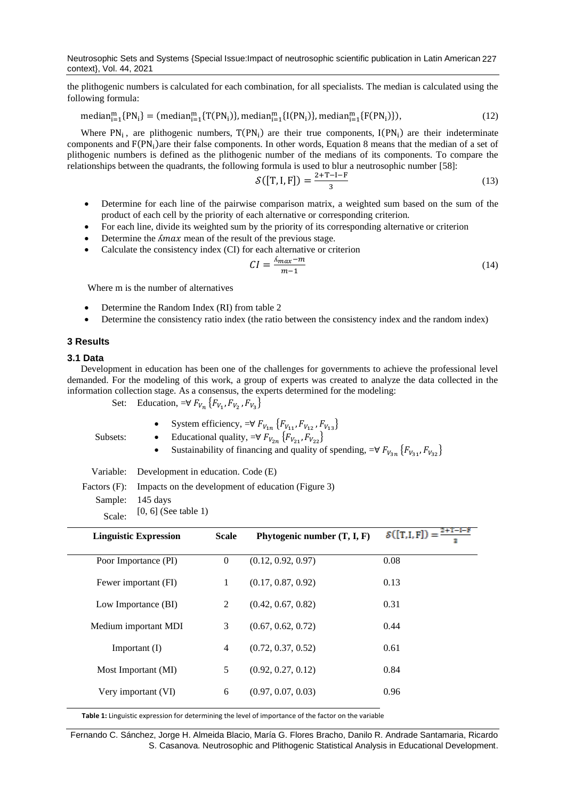Neutrosophic Sets and Systems {Special Issue:Impact of neutrosophic scientific publication in Latin American 227 context}, Vol. 44, 2021

the plithogenic numbers is calculated for each combination, for all specialists. The median is calculated using the following formula:

 $median_{i=1}^m$  {PN<sub>i</sub>} = (median<sup>m</sup><sub>i=1</sub>{T(PN<sub>i</sub>)}, median<sup>m</sup><sub>i=1</sub>{I(PN<sub>i</sub>)}, median<sup>m</sup><sub>i=1</sub>{F(PN<sub>i</sub>)}  $(12)$ 

Where  $PN_i$ , are plithogenic numbers,  $T(PN_i)$  are their true components,  $I(PN_i)$  are their indeterminate components and F(PN<sub>i</sub>)are their false components. In other words, Equation 8 means that the median of a set of plithogenic numbers is defined as the plithogenic number of the medians of its components. To compare the relationships between the quadrants, the following formula is used to blur a neutrosophic number [\[58\]](#page-11-6):

$$
\mathcal{S}([T, I, F]) = \frac{2 + T - I - F}{3} \tag{13}
$$

- Determine for each line of the pairwise comparison matrix, a weighted sum based on the sum of the product of each cell by the priority of each alternative or corresponding criterion.
- For each line, divide its weighted sum by the priority of its corresponding alternative or criterion
- Determine the  $\Lambda$ max mean of the result of the previous stage.
- Calculate the consistency index (CI) for each alternative or criterion

$$
CI = \frac{\Lambda_{max} - m}{m - 1} \tag{14}
$$

Where m is the number of alternatives

- Determine the Random Index (RI) from table 2
- Determine the consistency ratio index (the ratio between the consistency index and the random index)

### **3 Results**

## **3.1 Data**

Development in education has been one of the challenges for governments to achieve the professional level demanded. For the modeling of this work, a group of experts was created to analyze the data collected in the information collection stage. As a consensus, the experts determined for the modeling:

Set: Education,  $=\forall F_{V_n} \{F_{V_1}, F_{V_2}, F_{V_3}\}\$ 

• System efficiency,  $= \forall F_{V_{1n}} \{F_{V_{11}}, F_{V_{12}}, F_{V_{13}}\}$ 

Subsets:

- Educational quality,  $=\forall F_{V_{2n}} \{F_{V_{21}}, F_{V_{22}}\}$
- Sustainability of financing and quality of spending,  $\forall F_{V_{3n}}\{F_{V_{31}}, F_{V_{32}}\}$

Variable: Development in education. Code (E)

Factors (F): Impacts on the development of education (Figure 3)

Sample: 145 days

Scale: [0, 6] (See table 1)

| <b>Linguistic Expression</b> | <b>Scale</b> | Phytogenic number $(T, I, F)$ | $S([T,I,F]) = \frac{2+T-I-F}{\ }$<br>я |
|------------------------------|--------------|-------------------------------|----------------------------------------|
| Poor Importance (PI)         | $\theta$     | (0.12, 0.92, 0.97)            | 0.08                                   |
| Fewer important (FI)         | 1            | (0.17, 0.87, 0.92)            | 0.13                                   |
| Low Importance (BI)          | 2            | (0.42, 0.67, 0.82)            | 0.31                                   |
| Medium important MDI         | 3            | (0.67, 0.62, 0.72)            | 0.44                                   |
| Important $(I)$              | 4            | (0.72, 0.37, 0.52)            | 0.61                                   |
| Most Important (MI)          | 5            | (0.92, 0.27, 0.12)            | 0.84                                   |
| Very important (VI)          | 6            | (0.97, 0.07, 0.03)            | 0.96                                   |

**Table 1:** Linguistic expression for determining the level of importance of the factor on the variable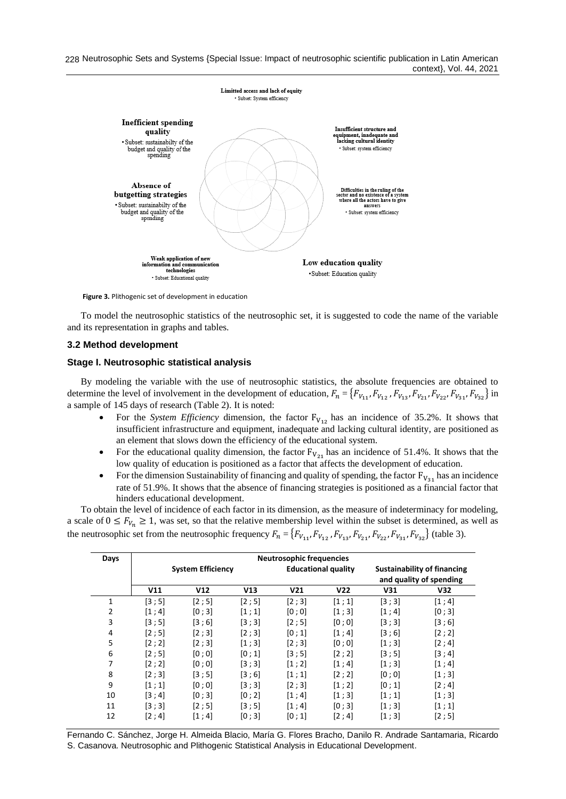228 Neutrosophic Sets and Systems {Special Issue: Impact of neutrosophic scientific publication in Latin American context}, Vol. 44, 2021



**Figure 3.** Plithogenic set of development in education

To model the neutrosophic statistics of the neutrosophic set, it is suggested to code the name of the variable and its representation in graphs and tables.

#### **3.2 Method development**

#### **Stage I. Neutrosophic statistical analysis**

By modeling the variable with the use of neutrosophic statistics, the absolute frequencies are obtained to determine the level of involvement in the development of education,  $F_n = \{F_{V_{11}}, F_{V_{12}}, F_{V_{13}}, F_{V_{22}}, F_{V_{21}}, F_{V_{23}}, F_{V_{31}}, F_{V_{32}}\}$  in a sample of 145 days of research (Table 2). It is noted:

- For the *System Efficiency* dimension, the factor  $F_{V_{12}}$  has an incidence of 35.2%. It shows that insufficient infrastructure and equipment, inadequate and lacking cultural identity, are positioned as an element that slows down the efficiency of the educational system.
- For the educational quality dimension, the factor  $F_{V_{21}}$  has an incidence of 51.4%. It shows that the low quality of education is positioned as a factor that affects the development of education.
- For the dimension Sustainability of financing and quality of spending, the factor  $F_{V_{31}}$  has an incidence rate of 51.9%. It shows that the absence of financing strategies is positioned as a financial factor that hinders educational development.

To obtain the level of incidence of each factor in its dimension, as the measure of indeterminacy for modeling, a scale of  $0 \leq F_{V_n} \geq 1$ , was set, so that the relative membership level within the subset is determined, as well as the neutrosophic set from the neutrosophic frequency  $F_n = \{F_{V_{11}}, F_{V_{12}}, F_{V_{13}}, F_{V_{21}}, F_{V_{22}}, F_{V_{31}}, F_{V_{32}}\}$  (table 3).

| Days           |        |                          |         | <b>Neutrosophic frequencies</b> |                            |        |                                                               |
|----------------|--------|--------------------------|---------|---------------------------------|----------------------------|--------|---------------------------------------------------------------|
|                |        | <b>System Efficiency</b> |         |                                 | <b>Educational quality</b> |        | <b>Sustainability of financing</b><br>and quality of spending |
|                | V11    | V12                      | V13     | V <sub>21</sub>                 | V <sub>22</sub>            | V31    | V <sub>32</sub>                                               |
| 1              | [3;5]  | [2;5]                    | [2;5]   | [2;3]                           | [1;1]                      | [3;3]  | [1; 4]                                                        |
| $\overline{2}$ | [1; 4] | [0;3]                    | [1;1]   | [0:0]                           | [1;3]                      | [1; 4] | [0;3]                                                         |
| 3              | [3:5]  | [3;6]                    | [3;3]   | [2;5]                           | [0;0]                      | [3;3]  | [3;6]                                                         |
| 4              | [2;5]  | [2;3]                    | [2;3]   | [0;1]                           | [1; 4]                     | [3;6]  | [2; 2]                                                        |
| 5              | [2;2]  | [2;3]                    | [1;3]   | [2;3]                           | [0;0]                      | [1;3]  | [2; 4]                                                        |
| 6              | [2;5]  | [0:0]                    | [0;1]   | [3;5]                           | [2;2]                      | [3;5]  | [3;4]                                                         |
| 7              | [2;2]  | [0:0]                    | [3:3]   | [1;2]                           | [1; 4]                     | [1;3]  | [1; 4]                                                        |
| 8              | [2;3]  | [3;5]                    | [3;6]   | [1;1]                           | [2; 2]                     | [0;0]  | [1;3]                                                         |
| 9              | [1;1]  | [0;0]                    | [3;3]   | [2;3]                           | [1;2]                      | [0;1]  | [2; 4]                                                        |
| 10             | [3:4]  | [0:3]                    | [0:2]   | [1; 4]                          | [1;3]                      | [1;1]  | [1;3]                                                         |
| 11             | [3:3]  | [2:5]                    | [3 ; 5] | [1:4]                           | [0:3]                      | [1:3]  | [1;1]                                                         |
| 12             | [2; 4] | [1;4]                    | [0;3]   | [0:1]                           | [2; 4]                     | [1;3]  | [2;5]                                                         |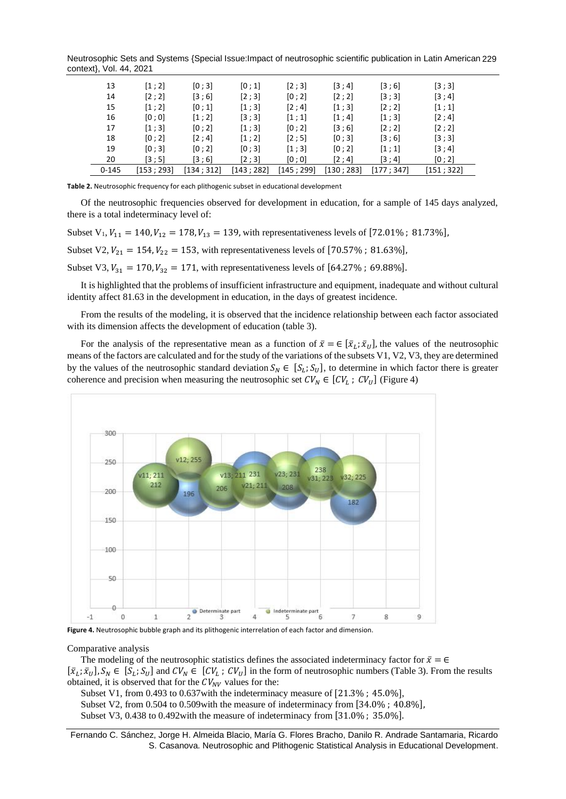Neutrosophic Sets and Systems {Special Issue:Impact of neutrosophic scientific publication in Latin American 229 context}, Vol. 44, 2021

| 13        | [1;2]     | [0:3]     | [0;1]     | [2;3]     | [3;4]     | $\left[3\,;\,6\right]$ | [3;3]      |
|-----------|-----------|-----------|-----------|-----------|-----------|------------------------|------------|
| 14        | [2;2]     | [3;6]     | [2;3]     | [0; 2]    | [2;2]     | [3;3]                  | [3; 4]     |
| 15        | [1;2]     | [0;1]     | [1;3]     | [2; 4]    | [1;3]     | [2;2]                  | [1;1]      |
| 16        | [0:0]     | [1:2]     | [3;3]     | [1:1]     | [1; 4]    | [1:3]                  | [2; 4]     |
| 17        | [1;3]     | [0:2]     | [1;3]     | [0:2]     | [3;6]     | [2:2]                  | [2;2]      |
| 18        | [0; 2]    | [2:4]     | [1;2]     | [2;5]     | [0;3]     | [3;6]                  | [3;3]      |
| 19        | [0;3]     | [0:2]     | [0;3]     | [1;3]     | [0; 2]    | [1;1]                  | [3;4]      |
| 20        | [3;5]     | [3;6]     | [2;3]     | [0;0]     | [2:4]     | [3:4]                  | [0; 2]     |
| $0 - 145$ | [153:293] | [134:312] | [143:282] | [145:299] | [130:283] | [177; 347]             | [151; 322] |

**Table 2.** Neutrosophic frequency for each plithogenic subset in educational development

Of the neutrosophic frequencies observed for development in education, for a sample of 145 days analyzed, there is a total indeterminacy level of:

Subset V<sub>1</sub>, V<sub>11</sub> = 140, V<sub>12</sub> = 178, V<sub>13</sub> = 139, with representativeness levels of [72.01%; 81.73%], Subset V2,  $V_{21} = 154$ ,  $V_{22} = 153$ , with representativeness levels of [70.57%; 81.63%], Subset V3,  $V_{31} = 170$ ,  $V_{32} = 171$ , with representativeness levels of [64.27%; 69.88%].

It is highlighted that the problems of insufficient infrastructure and equipment, inadequate and without cultural identity affect 81.63 in the development in education, in the days of greatest incidence.

From the results of the modeling, it is observed that the incidence relationship between each factor associated with its dimension affects the development of education (table 3).

For the analysis of the representative mean as a function of  $\bar{x} = \in [\bar{x}_L; \bar{x}_U]$ , the values of the neutrosophic means of the factors are calculated and for the study of the variations of the subsets V1, V2, V3, they are determined by the values of the neutrosophic standard deviation  $S_N \in [S_L; S_U]$ , to determine in which factor there is greater coherence and precision when measuring the neutrosophic set  $CV_N \in [CV_L; CV_U]$  (Figure 4)



**Figure 4.** Neutrosophic bubble graph and its plithogenic interrelation of each factor and dimension.

#### Comparative analysis

The modeling of the neutrosophic statistics defines the associated indeterminacy factor for  $\bar{x} = \epsilon$  $[\bar{x}_L; \bar{x}_U], S_N \in [S_L; S_U]$  and  $CV_N \in [CV_L; CV_U]$  in the form of neutrosophic numbers (Table 3). From the results obtained, it is observed that for the  $CV_{NV}$  values for the:

Subset V1, from 0.493 to 0.637with the indeterminacy measure of [21.3% ; 45.0%], Subset V2, from 0.504 to 0.509 with the measure of indeterminacy from [34.0%; 40.8%],

Subset V3, 0.438 to 0.492with the measure of indeterminacy from [31.0% ; 35.0%].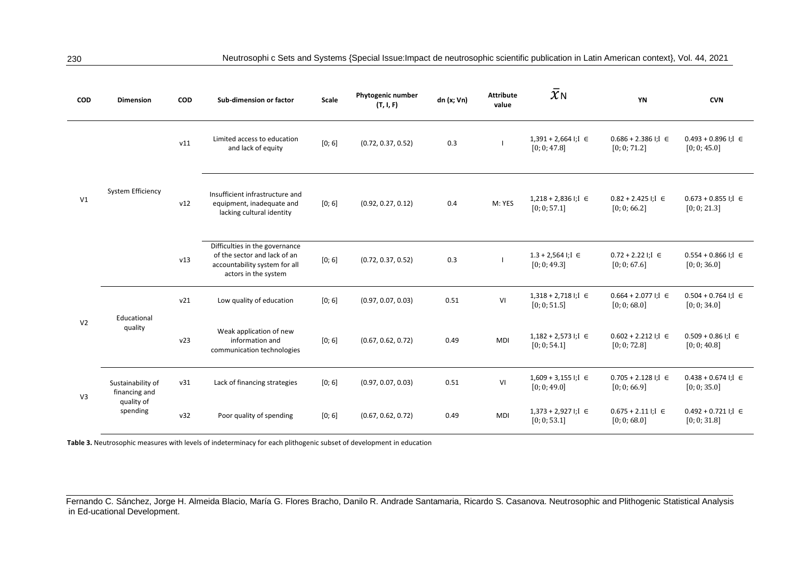| <b>COD</b>                               | <b>Dimension</b>                   | COD | Sub-dimension or factor                                                                                                 | Scale  | Phytogenic number<br>(T, I, F) | dn (x; Vn) | <b>Attribute</b><br>value | $\bar{\chi}_{\sf N}$                       | YN                                         | <b>CVN</b>                                 |
|------------------------------------------|------------------------------------|-----|-------------------------------------------------------------------------------------------------------------------------|--------|--------------------------------|------------|---------------------------|--------------------------------------------|--------------------------------------------|--------------------------------------------|
|                                          |                                    | v11 | Limited access to education<br>and lack of equity                                                                       | [0; 6] | (0.72, 0.37, 0.52)             | 0.3        |                           | $1,391 + 2,664$ I; I $\in$<br>[0; 0; 47.8] | $0.686 + 2.386$ I; I $\in$<br>[0; 0; 71.2] | $0.493 + 0.896$ I; I $\in$<br>[0; 0; 45.0] |
| V <sub>1</sub>                           | System Efficiency                  | v12 | Insufficient infrastructure and<br>equipment, inadequate and<br>lacking cultural identity                               | [0; 6] | (0.92, 0.27, 0.12)             | 0.4        | M: YES                    | $1,218 + 2,836$ I; I $\in$<br>[0; 0; 57.1] | $0.82 + 2.425$ I; I $\in$<br>[0; 0; 66.2]  | $0.673 + 0.855$ I; I $\in$<br>[0; 0; 21.3] |
|                                          |                                    | v13 | Difficulties in the governance<br>of the sector and lack of an<br>accountability system for all<br>actors in the system | [0; 6] | (0.72, 0.37, 0.52)             | 0.3        |                           | $1.3 + 2.564$ I; I $\in$<br>[0; 0; 49.3]   | $0.72 + 2.22$ I; I $\in$<br>[0; 0; 67.6]   | $0.554 + 0.866$ I; I $\in$<br>[0; 0; 36.0] |
|                                          | Educational                        | v21 | Low quality of education                                                                                                | [0; 6] | (0.97, 0.07, 0.03)             | 0.51       | VI                        | $1,318 + 2,718$ I; I $\in$<br>[0; 0; 51.5] | $0.664 + 2.077$ I; I $\in$<br>[0; 0; 68.0] | $0.504 + 0.764$ I; I $\in$<br>[0; 0; 34.0] |
| V <sub>2</sub>                           | quality                            | v23 | Weak application of new<br>information and<br>communication technologies                                                | [0; 6] | (0.67, 0.62, 0.72)             | 0.49       | <b>MDI</b>                | $1,182 + 2,573$ I; I $\in$<br>[0; 0; 54.1] | $0.602 + 2.212$ I; I $\in$<br>[0; 0; 72.8] | $0.509 + 0.86$ I; I $\in$<br>[0; 0; 40.8]  |
| V <sub>3</sub><br>quality of<br>spending | Sustainability of<br>financing and | v31 | Lack of financing strategies                                                                                            | [0; 6] | (0.97, 0.07, 0.03)             | 0.51       | VI                        | $1,609 + 3,155$ I; I $\in$<br>[0; 0; 49.0] | $0.705 + 2.128$ I; I $\in$<br>[0; 0; 66.9] | $0.438 + 0.674$ I; I $\in$<br>[0; 0; 35.0] |
|                                          |                                    | v32 | Poor quality of spending                                                                                                | [0; 6] | (0.67, 0.62, 0.72)             | 0.49       | <b>MDI</b>                | $1,373 + 2,927$ I; I $\in$<br>[0; 0; 53.1] | $0.675 + 2.11$ I; I $\in$<br>[0; 0; 68.0]  | $0.492 + 0.721$ I; I $\in$<br>[0; 0; 31.8] |

**Table 3.** Neutrosophic measures with levels of indeterminacy for each plithogenic subset of development in education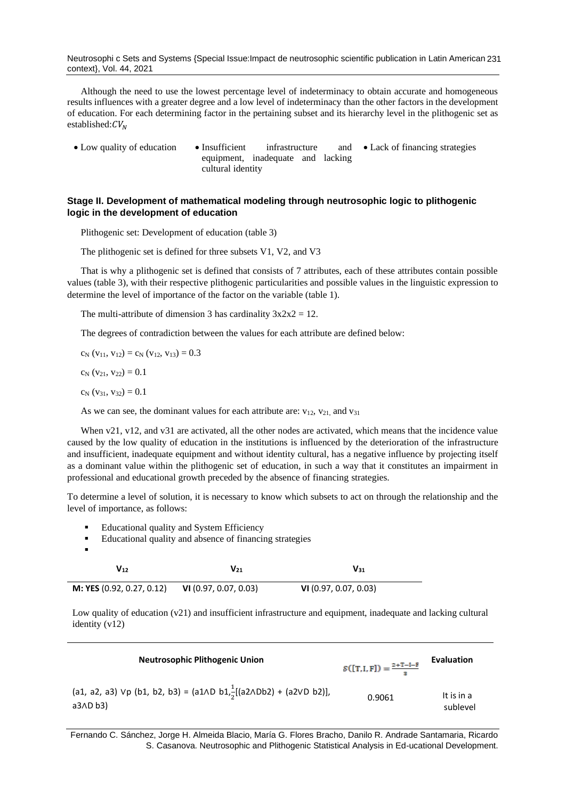Neutrosophi c Sets and Systems {Special Issue:Impact de neutrosophic scientific publication in Latin American 231 context}, Vol. 44, 2021

Although the need to use the lowest percentage level of indeterminacy to obtain accurate and homogeneous results influences with a greater degree and a low level of indeterminacy than the other factors in the development of education. For each determining factor in the pertaining subset and its hierarchy level in the plithogenic set as established: $CV<sub>N</sub>$ 

• Low quality of education • Insufficient infrastructure and equipment, inadequate and lacking cultural identity • Lack of financing strategies

## **Stage II. Development of mathematical modeling through neutrosophic logic to plithogenic logic in the development of education**

Plithogenic set: Development of education (table 3)

The plithogenic set is defined for three subsets V1, V2, and V3

That is why a plithogenic set is defined that consists of 7 attributes, each of these attributes contain possible values (table 3), with their respective plithogenic particularities and possible values in the linguistic expression to determine the level of importance of the factor on the variable (table 1).

The multi-attribute of dimension 3 has cardinality  $3x2x2 = 12$ .

The degrees of contradiction between the values for each attribute are defined below:

 $c_N$  (v<sub>11</sub>, v<sub>12</sub>) =  $c_N$  (v<sub>12</sub>, v<sub>13</sub>) = 0.3

 $c_N$  (v<sub>21</sub>, v<sub>22</sub>) = 0.1

 $c_N$  (v<sub>31</sub>, v<sub>32</sub>) = 0.1

As we can see, the dominant values for each attribute are:  $v_{12}$ ,  $v_{21}$ , and  $v_{31}$ 

When v21, v12, and v31 are activated, all the other nodes are activated, which means that the incidence value caused by the low quality of education in the institutions is influenced by the deterioration of the infrastructure and insufficient, inadequate equipment and without identity cultural, has a negative influence by projecting itself as a dominant value within the plithogenic set of education, in such a way that it constitutes an impairment in professional and educational growth preceded by the absence of financing strategies.

To determine a level of solution, it is necessary to know which subsets to act on through the relationship and the level of importance, as follows:

- Educational quality and System Efficiency
- Educational quality and absence of financing strategies

| ■ |  |  |  |
|---|--|--|--|
|   |  |  |  |
|   |  |  |  |
|   |  |  |  |
|   |  |  |  |

| V12                       | $V_{21}$              | $V_{31}$              |  |
|---------------------------|-----------------------|-----------------------|--|
| M: YES (0.92, 0.27, 0.12) | VI (0.97, 0.07, 0.03) | VI (0.97, 0.07, 0.03) |  |

Low quality of education (v21) and insufficient infrastructure and equipment, inadequate and lacking cultural identity (v12)

| <b>Neutrosophic Plithogenic Union</b>                                                                           | $S([T,I,F]) = \frac{2+T-I-F}{2}$ | Evaluation             |
|-----------------------------------------------------------------------------------------------------------------|----------------------------------|------------------------|
| (a1, a2, a3) $Vp$ (b1, b2, b3) = (a1 $\wedge D$ b1, $\frac{1}{2}$ [(a2 $\wedge$ Db2) + (a2 $VD$ b2)],<br>a3ADb3 | 0.9061                           | It is in a<br>sublevel |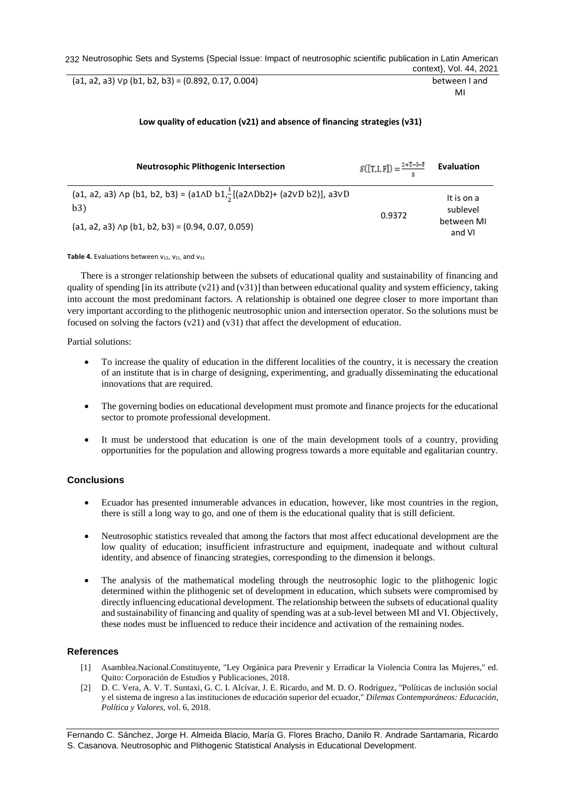232 Neutrosophic Sets and Systems {Special Issue: Impact of neutrosophic scientific publication in Latin American context}, Vol. 44, 2021

(a1, a2, a3) ∨p (b1, b2, b3) = (0.892, 0.17, 0.004) between I and

MI

## **Low quality of education (v21) and absence of financing strategies (v31)**

| <b>Neutrosophic Plithogenic Intersection</b>                                                                                     | $S([T,I,F]) = \frac{2+T-I-F}{2}$ Evaluation |                        |
|----------------------------------------------------------------------------------------------------------------------------------|---------------------------------------------|------------------------|
| (a1, a2, a3) $\wedge$ p (b1, b2, b3) = (a1 $\wedge$ D b1 $\frac{1}{2}$ [(a2 $\wedge$ Db2)+ (a2 $\vee$ D b2)], a3 $\vee$ D<br>b3) | 0.9372                                      | It is on a<br>sublevel |
| $(a1, a2, a3)$ Ap $(b1, b2, b3) = (0.94, 0.07, 0.059)$                                                                           |                                             | between MI<br>and VI   |

**Table 4.** Evaluations between  $v_{12}$ ,  $v_{21}$  and  $v_{31}$ 

There is a stronger relationship between the subsets of educational quality and sustainability of financing and quality of spending [in its attribute (v21) and (v31)] than between educational quality and system efficiency, taking into account the most predominant factors. A relationship is obtained one degree closer to more important than very important according to the plithogenic neutrosophic union and intersection operator. So the solutions must be focused on solving the factors  $(v21)$  and  $(v31)$  that affect the development of education.

Partial solutions:

- To increase the quality of education in the different localities of the country, it is necessary the creation of an institute that is in charge of designing, experimenting, and gradually disseminating the educational innovations that are required.
- The governing bodies on educational development must promote and finance projects for the educational sector to promote professional development.
- It must be understood that education is one of the main development tools of a country, providing opportunities for the population and allowing progress towards a more equitable and egalitarian country.

## **Conclusions**

- Ecuador has presented innumerable advances in education, however, like most countries in the region, there is still a long way to go, and one of them is the educational quality that is still deficient.
- Neutrosophic statistics revealed that among the factors that most affect educational development are the low quality of education; insufficient infrastructure and equipment, inadequate and without cultural identity, and absence of financing strategies, corresponding to the dimension it belongs.
- The analysis of the mathematical modeling through the neutrosophic logic to the plithogenic logic determined within the plithogenic set of development in education, which subsets were compromised by directly influencing educational development. The relationship between the subsets of educational quality and sustainability of financing and quality of spending was at a sub-level between MI and VI. Objectively, these nodes must be influenced to reduce their incidence and activation of the remaining nodes.

## **References**

- <span id="page-9-0"></span>[1] Asamblea.Nacional.Constituyente, "Ley Orgánica para Prevenir y Erradicar la Violencia Contra las Mujeres," ed. Quito: Corporación de Estudios y Publicaciones, 2018.
- [2] D. C. Vera, A. V. T. Suntaxi, G. C. I. Alcívar, J. E. Ricardo, and M. D. O. Rodríguez, "Políticas de inclusión social y el sistema de ingreso a las instituciones de educación superior del ecuador," *Dilemas Contemporáneos: Educación, Política y Valores,* vol. 6, 2018.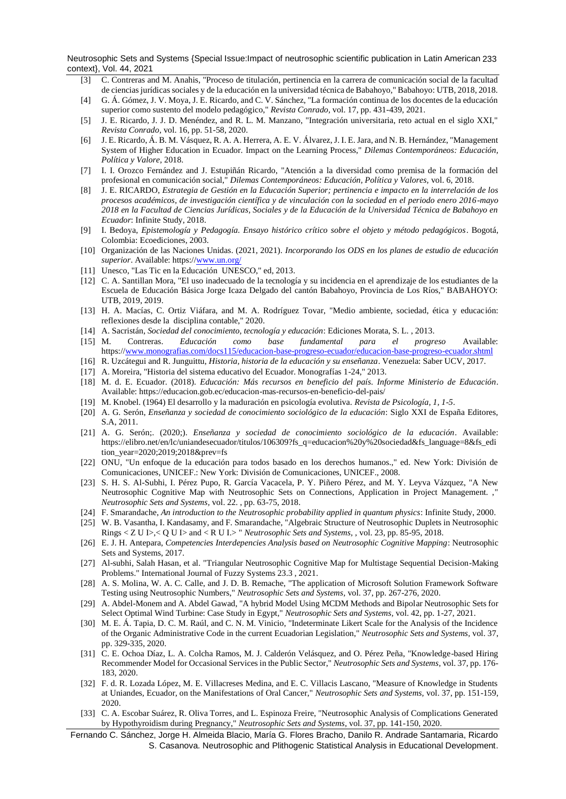Neutrosophic Sets and Systems {Special Issue:Impact of neutrosophic scientific publication in Latin American 233 context}, Vol. 44, 2021

- [3] C. Contreras and M. Anahis, "Proceso de titulación, pertinencia en la carrera de comunicación social de la facultad de ciencias jurídicas sociales y de la educación en la universidad técnica de Babahoyo," Babahoyo: UTB, 2018, 2018.
- [4] G. Á. Gómez, J. V. Moya, J. E. Ricardo, and C. V. Sánchez, "La formación continua de los docentes de la educación superior como sustento del modelo pedagógico," *Revista Conrado,* vol. 17, pp. 431-439, 2021.
- [5] J. E. Ricardo, J. J. D. Menéndez, and R. L. M. Manzano, "Integración universitaria, reto actual en el siglo XXI," *Revista Conrado,* vol. 16, pp. 51-58, 2020.
- [6] J. E. Ricardo, Á. B. M. Vásquez, R. A. A. Herrera, A. E. V. Álvarez, J. I. E. Jara, and N. B. Hernández, "Management System of Higher Education in Ecuador. Impact on the Learning Process," *Dilemas Contemporáneos: Educación, Política y Valore,* 2018.
- [7] I. I. Orozco Fernández and J. Estupiñán Ricardo, "Atención a la diversidad como premisa de la formación del profesional en comunicación social," *Dilemas Contemporáneos: Educación, Política y Valores,* vol. 6, 2018.
- [8] J. E. RICARDO, *Estrategia de Gestión en la Educación Superior; pertinencia e impacto en la interrelación de los procesos académicos, de investigación científica y de vinculación con la sociedad en el periodo enero 2016-mayo 2018 en la Facultad de Ciencias Jurídicas, Sociales y de la Educación de la Universidad Técnica de Babahoyo en Ecuador*: Infinite Study, 2018.
- <span id="page-10-0"></span>[9] I. Bedoya, *Epistemología y Pedagogía. Ensayo histórico crítico sobre el objeto y método pedagógicos*. Bogotá, Colombia: Ecoediciones, 2003.
- [10] Organización de las Naciones Unidas. (2021, 2021). *Incorporando los ODS en los planes de estudio de educación*  superior. Available: https://www.un.org
- [11] Unesco, "Las Tic en la Educación UNESCO," ed, 2013.
- [12] C. A. Santillan Mora, "El uso inadecuado de la tecnología y su incidencia en el aprendizaje de los estudiantes de la Escuela de Educación Básica Jorge Icaza Delgado del cantón Babahoyo, Provincia de Los Ríos," BABAHOYO: UTB, 2019, 2019.
- <span id="page-10-1"></span>[13] H. A. Macías, C. Ortiz Viáfara, and M. A. Rodríguez Tovar, "Medio ambiente, sociedad, ética y educación: reflexiones desde la disciplina contable," 2020.
- <span id="page-10-2"></span>[14] A. Sacristán, *Sociedad del conocimiento, tecnología y educación*: Ediciones Morata, S. L. , 2013.
- <span id="page-10-3"></span>[15] M. Contreras. *Educación como base fundamental para el progreso* Available: https:/[/www.monografias.com/docs115/educacion-base-progreso-ecuador/educacion-base-progreso-ecuador.shtml](http://www.monografias.com/docs115/educacion-base-progreso-ecuador/educacion-base-progreso-ecuador.shtml)
- <span id="page-10-4"></span>[16] R. Uzcátegui and R. Junguittu, *Historia, historia de la educación y su enseñanza*. Venezuela: Saber UCV, 2017.
- [17] A. Moreira, "Historia del sistema educativo del Ecuador. Monografías 1-24," 2013.
- [18] M. d. E. Ecuador. (2018). *Educación: Más recursos en beneficio del país. Informe Ministerio de Educación*. Available: https://educacion.gob.ec/educacion-mas-recursos-en-beneficio-del-pais/
- <span id="page-10-5"></span>[19] M. Knobel. (1964) El desarrollo y la maduración en psicología evolutiva. *Revista de Psicología, 1, 1-5*.
- <span id="page-10-6"></span>[20] A. G. Serón, *Enseñanza y sociedad de conocimiento sociológico de la educación*: Siglo XXI de España Editores, S.A, 2011.
- <span id="page-10-7"></span>[21] A. G. Serón;. (2020;). *Enseñanza y sociedad de conocimiento sociológico de la educación*. Available: https://elibro.net/en/lc/uniandesecuador/titulos/106309?fs\_q=educacion%20y%20sociedad&fs\_language=8&fs\_edi tion\_year=2020;2019;2018&prev=fs
- <span id="page-10-8"></span>[22] ONU, "Un enfoque de la educación para todos basado en los derechos humanos.," ed. New York: División de Comunicaciones, UNICEF.: New York: División de Comunicaciones, UNICEF., 2008.
- <span id="page-10-9"></span>[23] S. H. S. Al-Subhi, I. Pérez Pupo, R. García Vacacela, P. Y. Piñero Pérez, and M. Y. Leyva Vázquez, "A New Neutrosophic Cognitive Map with Neutrosophic Sets on Connections, Application in Project Management. ," *Neutrosophic Sets and Systems,* vol. 22. , pp. 63-75, 2018.
- <span id="page-10-10"></span>[24] F. Smarandache, *An introduction to the Neutrosophic probability applied in quantum physics*: Infinite Study, 2000.
- <span id="page-10-11"></span>[25] W. B. Vasantha, I. Kandasamy, and F. Smarandache, "Algebraic Structure of Neutrosophic Duplets in Neutrosophic Rings < Z U I>,< Q U I> and < R U I.> " *Neutrosophic Sets and Systems, ,* vol. 23, pp. 85-95, 2018.
- <span id="page-10-12"></span>[26] E. J. H. Antepara, *Competencies Interdepencies Analysis based on Neutrosophic Cognitive Mapping*: Neutrosophic Sets and Systems, 2017.
- <span id="page-10-14"></span><span id="page-10-13"></span>[27] Al-subhi, Salah Hasan, et al. "Triangular Neutrosophic Cognitive Map for Multistage Sequential Decision-Making Problems." International Journal of Fuzzy Systems 23.3 , 2021.
- [28] A. S. Molina, W. A. C. Calle, and J. D. B. Remache, "The application of Microsoft Solution Framework Software Testing using Neutrosophic Numbers," *Neutrosophic Sets and Systems,* vol. 37, pp. 267-276, 2020.
- [29] A. Abdel-Monem and A. Abdel Gawad, "A hybrid Model Using MCDM Methods and Bipolar Neutrosophic Sets for Select Optimal Wind Turbine: Case Study in Egypt," *Neutrosophic Sets and Systems,* vol. 42, pp. 1-27, 2021.
- [30] M. E. Á. Tapia, D. C. M. Raúl, and C. N. M. Vinicio, "Indeterminate Likert Scale for the Analysis of the Incidence of the Organic Administrative Code in the current Ecuadorian Legislation," *Neutrosophic Sets and Systems,* vol. 37, pp. 329-335, 2020.
- [31] C. E. Ochoa Díaz, L. A. Colcha Ramos, M. J. Calderón Velásquez, and O. Pérez Peña, "Knowledge-based Hiring Recommender Model for Occasional Services in the Public Sector," *Neutrosophic Sets and Systems,* vol. 37, pp. 176- 183, 2020.
- [32] F. d. R. Lozada López, M. E. Villacreses Medina, and E. C. Villacis Lascano, "Measure of Knowledge in Students at Uniandes, Ecuador, on the Manifestations of Oral Cancer," *Neutrosophic Sets and Systems,* vol. 37, pp. 151-159, 2020.
- [33] C. A. Escobar Suárez, R. Oliva Torres, and L. Espinoza Freire, "Neutrosophic Analysis of Complications Generated by Hypothyroidism during Pregnancy," *Neutrosophic Sets and Systems,* vol. 37, pp. 141-150, 2020.
- Fernando C. Sánchez, Jorge H. Almeida Blacio, María G. Flores Bracho, Danilo R. Andrade Santamaria, Ricardo S. Casanova. Neutrosophic and Plithogenic Statistical Analysis in Educational Development.